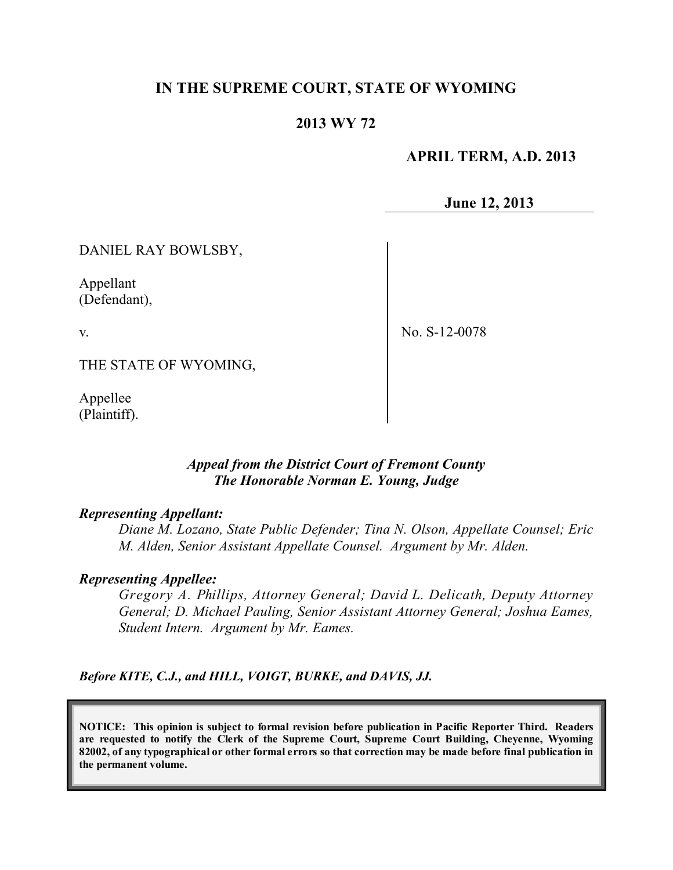# **IN THE SUPREME COURT, STATE OF WYOMING**

## **2013 WY 72**

### **APRIL TERM, A.D. 2013**

**June 12, 2013**

DANIEL RAY BOWLSBY,

Appellant (Defendant),

v.

No. S-12-0078

THE STATE OF WYOMING,

Appellee (Plaintiff).

#### *Appeal from the District Court of Fremont County The Honorable Norman E. Young, Judge*

#### *Representing Appellant:*

*Diane M. Lozano, State Public Defender; Tina N. Olson, Appellate Counsel; Eric M. Alden, Senior Assistant Appellate Counsel. Argument by Mr. Alden.*

#### *Representing Appellee:*

*Gregory A. Phillips, Attorney General; David L. Delicath, Deputy Attorney General; D. Michael Pauling, Senior Assistant Attorney General; Joshua Eames, Student Intern. Argument by Mr. Eames.*

*Before KITE, C.J., and HILL, VOIGT, BURKE, and DAVIS, JJ.*

**NOTICE: This opinion is subject to formal revision before publication in Pacific Reporter Third. Readers are requested to notify the Clerk of the Supreme Court, Supreme Court Building, Cheyenne, Wyoming** 82002, of any typographical or other formal errors so that correction may be made before final publication in **the permanent volume.**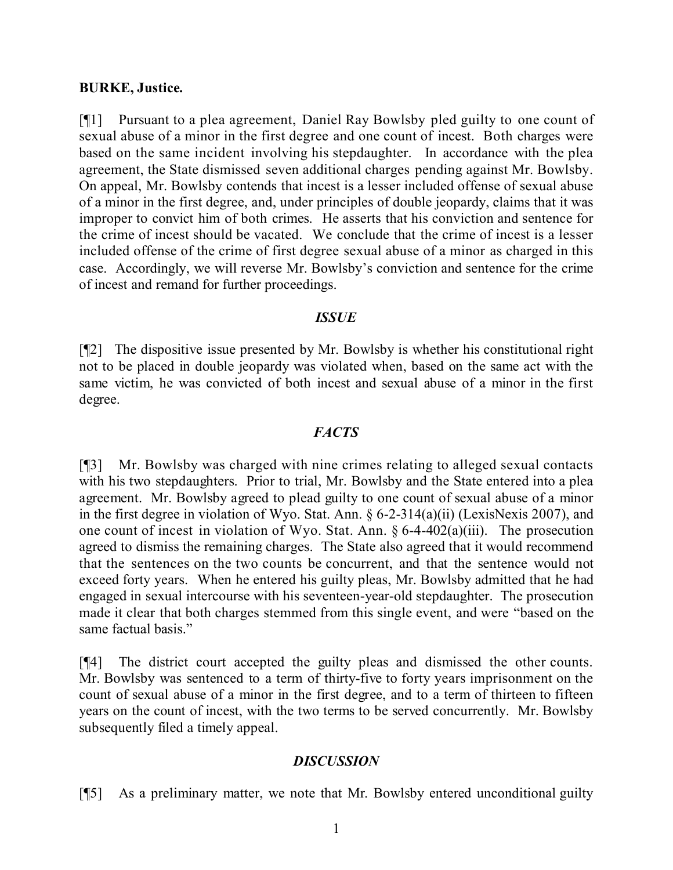### **BURKE, Justice.**

[¶1] Pursuant to a plea agreement, Daniel Ray Bowlsby pled guilty to one count of sexual abuse of a minor in the first degree and one count of incest. Both charges were based on the same incident involving his stepdaughter. In accordance with the plea agreement, the State dismissed seven additional charges pending against Mr. Bowlsby. On appeal, Mr. Bowlsby contends that incest is a lesser included offense of sexual abuse of a minor in the first degree, and, under principles of double jeopardy, claims that it was improper to convict him of both crimes. He asserts that his conviction and sentence for the crime of incest should be vacated. We conclude that the crime of incest is a lesser included offense of the crime of first degree sexual abuse of a minor as charged in this case. Accordingly, we will reverse Mr. Bowlsby's conviction and sentence for the crime of incest and remand for further proceedings.

### *ISSUE*

[¶2] The dispositive issue presented by Mr. Bowlsby is whether his constitutional right not to be placed in double jeopardy was violated when, based on the same act with the same victim, he was convicted of both incest and sexual abuse of a minor in the first degree.

### *FACTS*

[¶3] Mr. Bowlsby was charged with nine crimes relating to alleged sexual contacts with his two stepdaughters. Prior to trial, Mr. Bowlsby and the State entered into a plea agreement. Mr. Bowlsby agreed to plead guilty to one count of sexual abuse of a minor in the first degree in violation of Wyo. Stat. Ann. § 6-2-314(a)(ii) (LexisNexis 2007), and one count of incest in violation of Wyo. Stat. Ann. § 6-4-402(a)(iii). The prosecution agreed to dismiss the remaining charges. The State also agreed that it would recommend that the sentences on the two counts be concurrent, and that the sentence would not exceed forty years. When he entered his guilty pleas, Mr. Bowlsby admitted that he had engaged in sexual intercourse with his seventeen-year-old stepdaughter. The prosecution made it clear that both charges stemmed from this single event, and were "based on the same factual basis."

[¶4] The district court accepted the guilty pleas and dismissed the other counts. Mr. Bowlsby was sentenced to a term of thirty-five to forty years imprisonment on the count of sexual abuse of a minor in the first degree, and to a term of thirteen to fifteen years on the count of incest, with the two terms to be served concurrently. Mr. Bowlsby subsequently filed a timely appeal.

## *DISCUSSION*

[¶5] As a preliminary matter, we note that Mr. Bowlsby entered unconditional guilty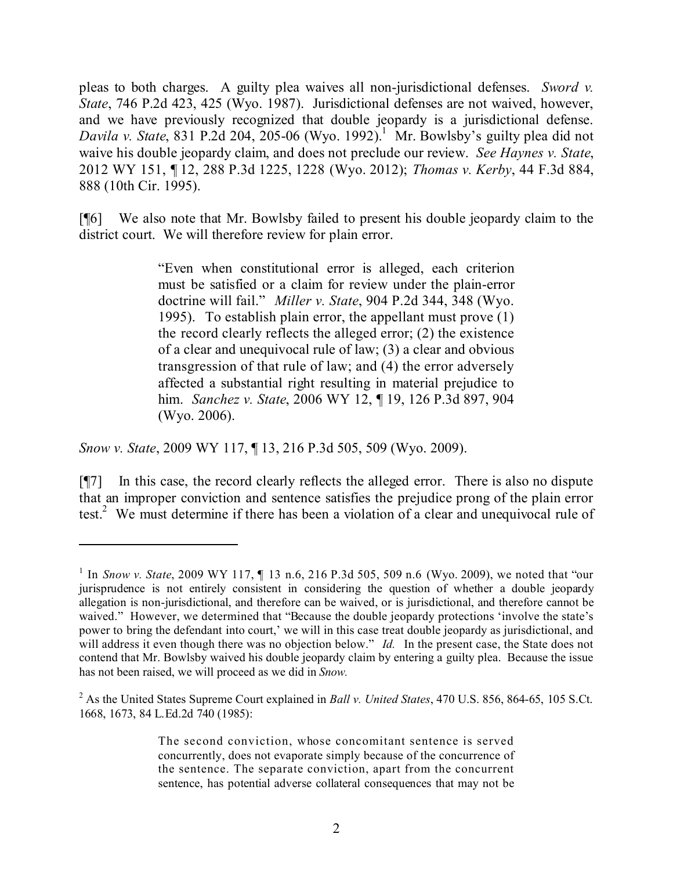pleas to both charges. A guilty plea waives all non-jurisdictional defenses. *Sword v. State*, 746 P.2d 423, 425 (Wyo. 1987). Jurisdictional defenses are not waived, however, and we have previously recognized that double jeopardy is a jurisdictional defense. *Davila v. State*, 831 P.2d 204, 205-06 (Wyo. 1992). <sup>1</sup> Mr. Bowlsby's guilty plea did not waive his double jeopardy claim, and does not preclude our review. *See Haynes v. State*, 2012 WY 151, ¶ 12, 288 P.3d 1225, 1228 (Wyo. 2012); *Thomas v. Kerby*, 44 F.3d 884, 888 (10th Cir. 1995).

[¶6] We also note that Mr. Bowlsby failed to present his double jeopardy claim to the district court. We will therefore review for plain error.

> "Even when constitutional error is alleged, each criterion must be satisfied or a claim for review under the plain-error doctrine will fail." *Miller v. State*, 904 P.2d 344, 348 (Wyo. 1995). To establish plain error, the appellant must prove (1) the record clearly reflects the alleged error; (2) the existence of a clear and unequivocal rule of law; (3) a clear and obvious transgression of that rule of law; and (4) the error adversely affected a substantial right resulting in material prejudice to him. *Sanchez v. State*, 2006 WY 12, ¶ 19, 126 P.3d 897, 904 (Wyo. 2006).

*Snow v. State*, 2009 WY 117, ¶ 13, 216 P.3d 505, 509 (Wyo. 2009).

[¶7] In this case, the record clearly reflects the alleged error. There is also no dispute that an improper conviction and sentence satisfies the prejudice prong of the plain error test.<sup>2</sup> We must determine if there has been a violation of a clear and unequivocal rule of

<sup>&</sup>lt;sup>1</sup> In *Snow v. State*, 2009 WY 117,  $\P$  13 n.6, 216 P.3d 505, 509 n.6 (Wyo. 2009), we noted that "our jurisprudence is not entirely consistent in considering the question of whether a double jeopardy allegation is non-jurisdictional, and therefore can be waived, or is jurisdictional, and therefore cannot be waived." However, we determined that "Because the double jeopardy protections 'involve the state's power to bring the defendant into court,' we will in this case treat double jeopardy as jurisdictional, and will address it even though there was no objection below." *Id.* In the present case, the State does not contend that Mr. Bowlsby waived his double jeopardy claim by entering a guilty plea. Because the issue has not been raised, we will proceed as we did in *Snow.*

<sup>2</sup> As the United States Supreme Court explained in *Ball v. United States*, 470 U.S. 856, 864-65, 105 S.Ct. 1668, 1673, 84 L.Ed.2d 740 (1985):

The second conviction, whose concomitant sentence is served concurrently, does not evaporate simply because of the concurrence of the sentence. The separate conviction, apart from the concurrent sentence, has potential adverse collateral consequences that may not be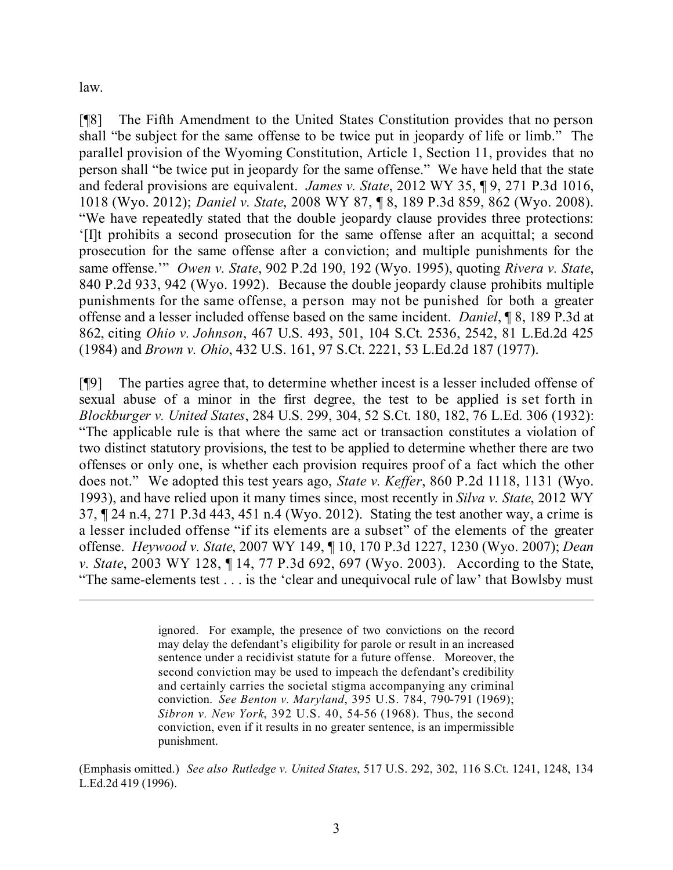law.

[¶8] The Fifth Amendment to the United States Constitution provides that no person shall "be subject for the same offense to be twice put in jeopardy of life or limb." The parallel provision of the Wyoming Constitution, Article 1, Section 11, provides that no person shall "be twice put in jeopardy for the same offense." We have held that the state and federal provisions are equivalent. *James v. State*, 2012 WY 35, ¶ 9, 271 P.3d 1016, 1018 (Wyo. 2012); *Daniel v. State*, 2008 WY 87, ¶ 8, 189 P.3d 859, 862 (Wyo. 2008). "We have repeatedly stated that the double jeopardy clause provides three protections: '[I]t prohibits a second prosecution for the same offense after an acquittal; a second prosecution for the same offense after a conviction; and multiple punishments for the same offense.'" *Owen v. State*, 902 P.2d 190, 192 (Wyo. 1995), quoting *Rivera v. State*, 840 P.2d 933, 942 (Wyo. 1992). Because the double jeopardy clause prohibits multiple punishments for the same offense, a person may not be punished for both a greater offense and a lesser included offense based on the same incident. *Daniel*, ¶ 8, 189 P.3d at 862, citing *Ohio v. Johnson*, 467 U.S. 493, 501, 104 S.Ct. 2536, 2542, 81 L.Ed.2d 425 (1984) and *Brown v. Ohio*, 432 U.S. 161, 97 S.Ct. 2221, 53 L.Ed.2d 187 (1977).

[¶9] The parties agree that, to determine whether incest is a lesser included offense of sexual abuse of a minor in the first degree, the test to be applied is set forth in *Blockburger v. United States*, 284 U.S. 299, 304, 52 S.Ct. 180, 182, 76 L.Ed. 306 (1932): "The applicable rule is that where the same act or transaction constitutes a violation of two distinct statutory provisions, the test to be applied to determine whether there are two offenses or only one, is whether each provision requires proof of a fact which the other does not." We adopted this test years ago, *State v. Keffer*, 860 P.2d 1118, 1131 (Wyo. 1993), and have relied upon it many times since, most recently in *Silva v. State*, 2012 WY 37, ¶ 24 n.4, 271 P.3d 443, 451 n.4 (Wyo. 2012). Stating the test another way, a crime is a lesser included offense "if its elements are a subset" of the elements of the greater offense. *Heywood v. State*, 2007 WY 149, ¶ 10, 170 P.3d 1227, 1230 (Wyo. 2007); *Dean v. State*, 2003 WY 128, ¶ 14, 77 P.3d 692, 697 (Wyo. 2003). According to the State, "The same-elements test . . . is the 'clear and unequivocal rule of law' that Bowlsby must

> ignored. For example, the presence of two convictions on the record may delay the defendant's eligibility for parole or result in an increased sentence under a recidivist statute for a future offense. Moreover, the second conviction may be used to impeach the defendant's credibility and certainly carries the societal stigma accompanying any criminal conviction. *See Benton v. Maryland*, 395 U.S. 784, 790-791 (1969); *Sibron v. New York*, 392 U.S. 40, 54-56 (1968). Thus, the second conviction, even if it results in no greater sentence, is an impermissible punishment.

 $\overline{a}$ 

(Emphasis omitted.) *See also Rutledge v. United States*, 517 U.S. 292, 302, 116 S.Ct. 1241, 1248, 134 L.Ed.2d 419 (1996).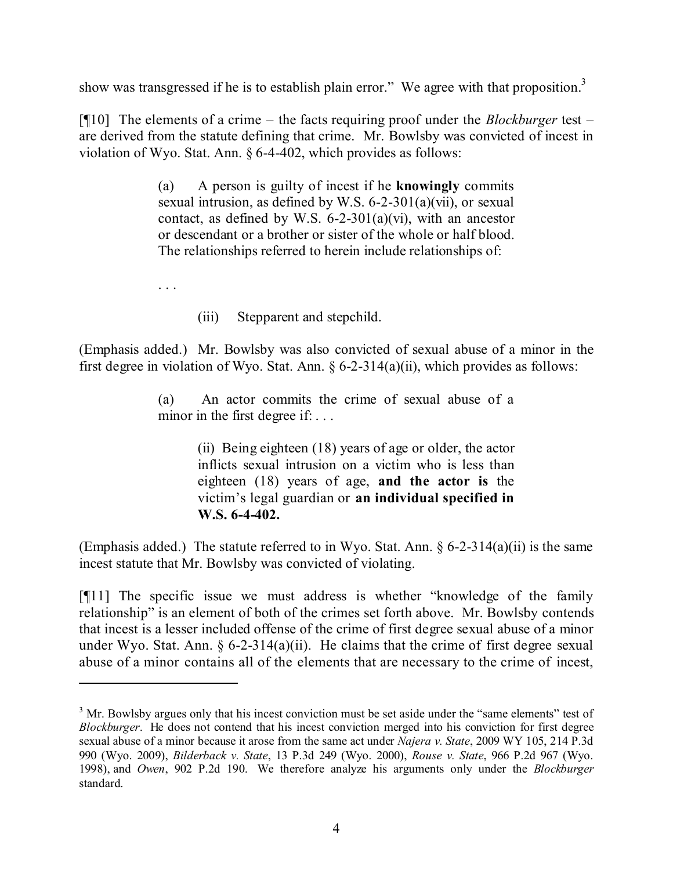show was transgressed if he is to establish plain error." We agree with that proposition.<sup>3</sup>

[¶10] The elements of a crime – the facts requiring proof under the *Blockburger* test – are derived from the statute defining that crime. Mr. Bowlsby was convicted of incest in violation of Wyo. Stat. Ann. § 6-4-402, which provides as follows:

> (a) A person is guilty of incest if he **knowingly** commits sexual intrusion, as defined by W.S. 6-2-301(a)(vii), or sexual contact, as defined by W.S.  $6-2-301(a)(vi)$ , with an ancestor or descendant or a brother or sister of the whole or half blood. The relationships referred to herein include relationships of:

. . .

(iii) Stepparent and stepchild.

(Emphasis added.) Mr. Bowlsby was also convicted of sexual abuse of a minor in the first degree in violation of Wyo. Stat. Ann.  $\S 6$ -2-314(a)(ii), which provides as follows:

> (a) An actor commits the crime of sexual abuse of a minor in the first degree if: . . .

> > (ii) Being eighteen (18) years of age or older, the actor inflicts sexual intrusion on a victim who is less than eighteen (18) years of age, **and the actor is** the victim's legal guardian or **an individual specified in W.S. 6-4-402.**

(Emphasis added.) The statute referred to in Wyo. Stat. Ann. § 6-2-314(a)(ii) is the same incest statute that Mr. Bowlsby was convicted of violating.

[¶11] The specific issue we must address is whether "knowledge of the family relationship" is an element of both of the crimes set forth above. Mr. Bowlsby contends that incest is a lesser included offense of the crime of first degree sexual abuse of a minor under Wyo. Stat. Ann.  $\S 6$ -2-314(a)(ii). He claims that the crime of first degree sexual abuse of a minor contains all of the elements that are necessary to the crime of incest,

<sup>&</sup>lt;sup>3</sup> Mr. Bowlsby argues only that his incest conviction must be set aside under the "same elements" test of *Blockburger*. He does not contend that his incest conviction merged into his conviction for first degree sexual abuse of a minor because it arose from the same act under *Najera v. State*, 2009 WY 105, 214 P.3d 990 (Wyo. 2009), *Bilderback v. State*, 13 P.3d 249 (Wyo. 2000), *Rouse v. State*, 966 P.2d 967 (Wyo. 1998), and *Owen*, 902 P.2d 190. We therefore analyze his arguments only under the *Blockburger* standard.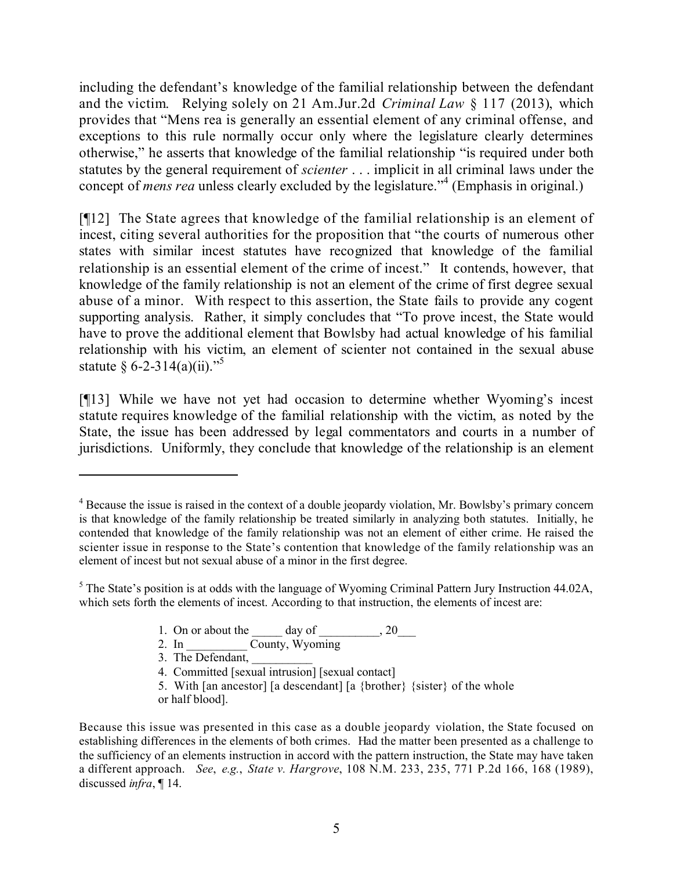including the defendant's knowledge of the familial relationship between the defendant and the victim. Relying solely on 21 Am.Jur.2d *Criminal Law* § 117 (2013), which provides that "Mens rea is generally an essential element of any criminal offense, and exceptions to this rule normally occur only where the legislature clearly determines otherwise," he asserts that knowledge of the familial relationship "is required under both statutes by the general requirement of *scienter* . . . implicit in all criminal laws under the concept of *mens rea* unless clearly excluded by the legislature."<sup>4</sup> (Emphasis in original.)

[¶12] The State agrees that knowledge of the familial relationship is an element of incest, citing several authorities for the proposition that "the courts of numerous other states with similar incest statutes have recognized that knowledge of the familial relationship is an essential element of the crime of incest." It contends, however, that knowledge of the family relationship is not an element of the crime of first degree sexual abuse of a minor. With respect to this assertion, the State fails to provide any cogent supporting analysis. Rather, it simply concludes that "To prove incest, the State would have to prove the additional element that Bowlsby had actual knowledge of his familial relationship with his victim, an element of scienter not contained in the sexual abuse statute  $\S 6$ -2-314(a)(ii)."<sup>5</sup>

[¶13] While we have not yet had occasion to determine whether Wyoming's incest statute requires knowledge of the familial relationship with the victim, as noted by the State, the issue has been addressed by legal commentators and courts in a number of jurisdictions. Uniformly, they conclude that knowledge of the relationship is an element

- 1. On or about the  $\_\_\_\_\$  day of  $\_\_\_\_$ , 20
- 2. In County, Wyoming
- 3. The Defendant,

- 4. Committed [sexual intrusion] [sexual contact]
- 5. With [an ancestor] [a descendant] [a {brother} {sister} of the whole or half blood].

Because this issue was presented in this case as a double jeopardy violation, the State focused on establishing differences in the elements of both crimes. Had the matter been presented as a challenge to the sufficiency of an elements instruction in accord with the pattern instruction, the State may have taken a different approach. *See*, *e.g.*, *State v. Hargrove*, 108 N.M. 233, 235, 771 P.2d 166, 168 (1989), discussed *infra*, ¶ 14.

<sup>&</sup>lt;sup>4</sup> Because the issue is raised in the context of a double jeopardy violation, Mr. Bowlsby's primary concern is that knowledge of the family relationship be treated similarly in analyzing both statutes. Initially, he contended that knowledge of the family relationship was not an element of either crime. He raised the scienter issue in response to the State's contention that knowledge of the family relationship was an element of incest but not sexual abuse of a minor in the first degree.

<sup>5</sup> The State's position is at odds with the language of Wyoming Criminal Pattern Jury Instruction 44.02A, which sets forth the elements of incest. According to that instruction, the elements of incest are: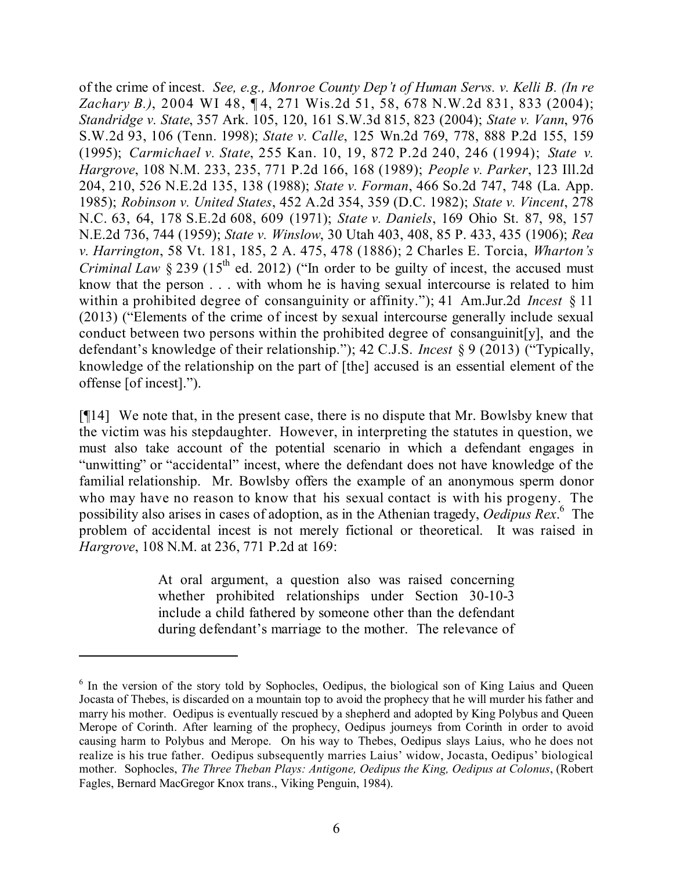of the crime of incest. *See, e.g., Monroe County Dep't of Human Servs. v. Kelli B. (In re Zachary B.)*, 2004 WI 48, ¶ 4, 271 Wis.2d 51, 58, 678 N.W.2d 831, 833 (2004); *Standridge v. State*, 357 Ark. 105, 120, 161 S.W.3d 815, 823 (2004); *State v. Vann*, 976 S.W.2d 93, 106 (Tenn. 1998); *State v. Calle*, 125 Wn.2d 769, 778, 888 P.2d 155, 159 (1995); *Carmichael v. State*, 255 Kan. 10, 19, 872 P.2d 240, 246 (1994); *State v. Hargrove*, 108 N.M. 233, 235, 771 P.2d 166, 168 (1989); *People v. Parker*, 123 Ill.2d 204, 210, 526 N.E.2d 135, 138 (1988); *State v. Forman*, 466 So.2d 747, 748 (La. App. 1985); *Robinson v. United States*, 452 A.2d 354, 359 (D.C. 1982); *State v. Vincent*, 278 N.C. 63, 64, 178 S.E.2d 608, 609 (1971); *State v. Daniels*, 169 Ohio St. 87, 98, 157 N.E.2d 736, 744 (1959); *State v. Winslow*, 30 Utah 403, 408, 85 P. 433, 435 (1906); *Rea v. Harrington*, 58 Vt. 181, 185, 2 A. 475, 478 (1886); 2 Charles E. Torcia, *Wharton's Criminal Law* § 239 (15<sup>th</sup> ed. 2012) ("In order to be guilty of incest, the accused must know that the person . . . with whom he is having sexual intercourse is related to him within a prohibited degree of consanguinity or affinity."); 41 Am.Jur.2d *Incest* § 11 (2013) ("Elements of the crime of incest by sexual intercourse generally include sexual conduct between two persons within the prohibited degree of consanguinit[y], and the defendant's knowledge of their relationship."); 42 C.J.S. *Incest* § 9 (2013) ("Typically, knowledge of the relationship on the part of [the] accused is an essential element of the offense [of incest].").

[¶14] We note that, in the present case, there is no dispute that Mr. Bowlsby knew that the victim was his stepdaughter. However, in interpreting the statutes in question, we must also take account of the potential scenario in which a defendant engages in "unwitting" or "accidental" incest, where the defendant does not have knowledge of the familial relationship. Mr. Bowlsby offers the example of an anonymous sperm donor who may have no reason to know that his sexual contact is with his progeny. The possibility also arises in cases of adoption, as in the Athenian tragedy, *Oedipus Rex*. 6 The problem of accidental incest is not merely fictional or theoretical. It was raised in *Hargrove*, 108 N.M. at 236, 771 P.2d at 169:

> At oral argument, a question also was raised concerning whether prohibited relationships under Section 30-10-3 include a child fathered by someone other than the defendant during defendant's marriage to the mother. The relevance of

<sup>&</sup>lt;sup>6</sup> In the version of the story told by Sophocles, Oedipus, the biological son of King Laius and Queen Jocasta of Thebes, is discarded on a mountain top to avoid the prophecy that he will murder his father and marry his mother. Oedipus is eventually rescued by a shepherd and adopted by King Polybus and Queen Merope of Corinth. After learning of the prophecy, Oedipus journeys from Corinth in order to avoid causing harm to Polybus and Merope. On his way to Thebes, Oedipus slays Laius, who he does not realize is his true father. Oedipus subsequently marries Laius' widow, Jocasta, Oedipus' biological mother. Sophocles, *The Three Theban Plays: Antigone, Oedipus the King, Oedipus at Colonus*, (Robert Fagles, Bernard MacGregor Knox trans., Viking Penguin, 1984).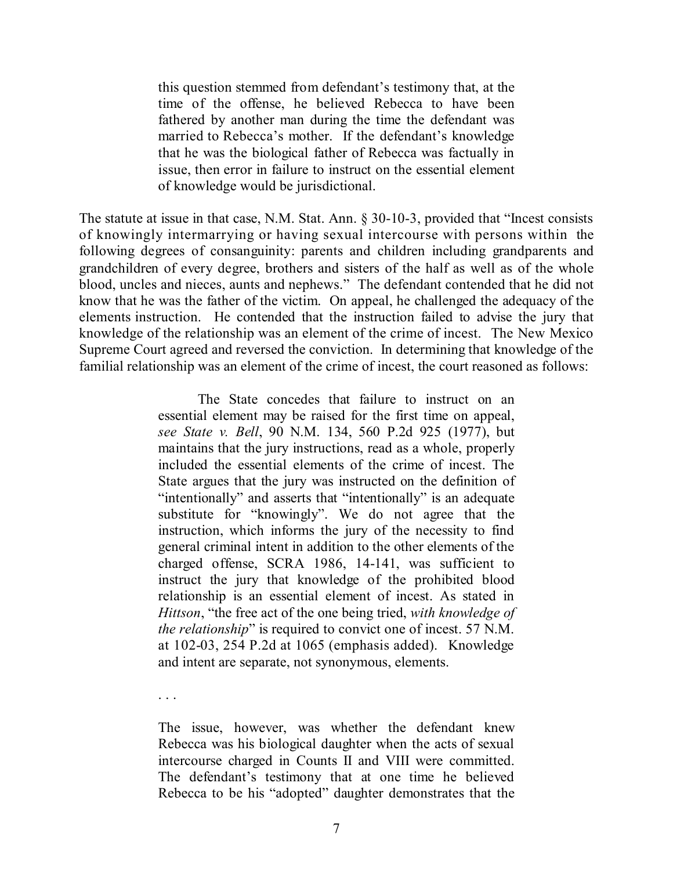this question stemmed from defendant's testimony that, at the time of the offense, he believed Rebecca to have been fathered by another man during the time the defendant was married to Rebecca's mother. If the defendant's knowledge that he was the biological father of Rebecca was factually in issue, then error in failure to instruct on the essential element of knowledge would be jurisdictional.

The statute at issue in that case, N.M. Stat. Ann. § 30-10-3, provided that "Incest consists" of knowingly intermarrying or having sexual intercourse with persons within the following degrees of consanguinity: parents and children including grandparents and grandchildren of every degree, brothers and sisters of the half as well as of the whole blood, uncles and nieces, aunts and nephews." The defendant contended that he did not know that he was the father of the victim. On appeal, he challenged the adequacy of the elements instruction. He contended that the instruction failed to advise the jury that knowledge of the relationship was an element of the crime of incest. The New Mexico Supreme Court agreed and reversed the conviction. In determining that knowledge of the familial relationship was an element of the crime of incest, the court reasoned as follows:

> The State concedes that failure to instruct on an essential element may be raised for the first time on appeal, *see State v. Bell*, 90 N.M. 134, 560 P.2d 925 (1977), but maintains that the jury instructions, read as a whole, properly included the essential elements of the crime of incest. The State argues that the jury was instructed on the definition of "intentionally" and asserts that "intentionally" is an adequate substitute for "knowingly". We do not agree that the instruction, which informs the jury of the necessity to find general criminal intent in addition to the other elements of the charged offense, SCRA 1986, 14-141, was sufficient to instruct the jury that knowledge of the prohibited blood relationship is an essential element of incest. As stated in *Hittson*, "the free act of the one being tried, *with knowledge of the relationship*" is required to convict one of incest. 57 N.M. at 102-03, 254 P.2d at 1065 (emphasis added). Knowledge and intent are separate, not synonymous, elements.

. . .

The issue, however, was whether the defendant knew Rebecca was his biological daughter when the acts of sexual intercourse charged in Counts II and VIII were committed. The defendant's testimony that at one time he believed Rebecca to be his "adopted" daughter demonstrates that the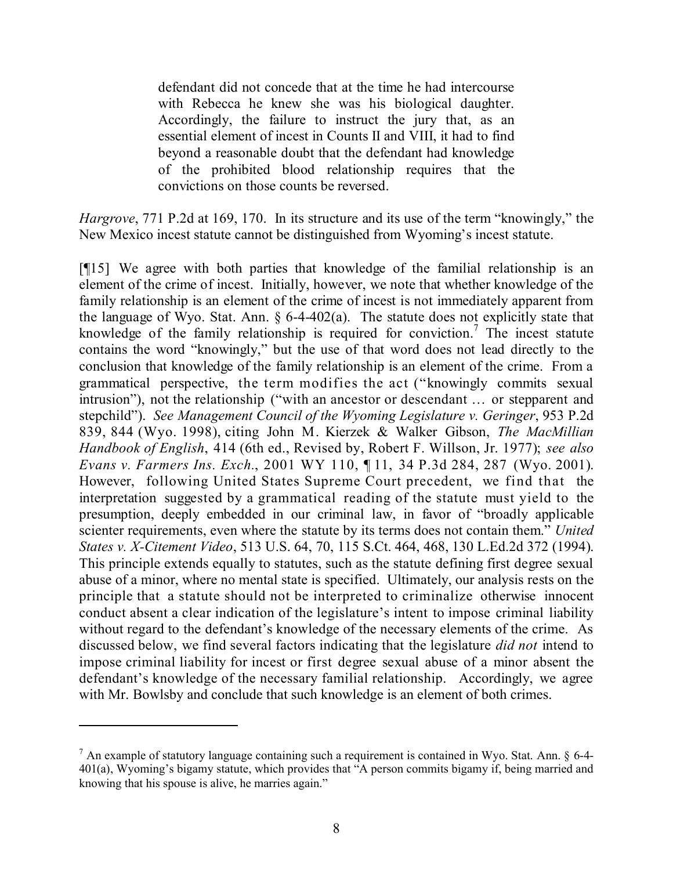defendant did not concede that at the time he had intercourse with Rebecca he knew she was his biological daughter. Accordingly, the failure to instruct the jury that, as an essential element of incest in Counts II and VIII, it had to find beyond a reasonable doubt that the defendant had knowledge of the prohibited blood relationship requires that the convictions on those counts be reversed.

*Hargrove*, 771 P.2d at 169, 170. In its structure and its use of the term "knowingly," the New Mexico incest statute cannot be distinguished from Wyoming's incest statute.

[¶15] We agree with both parties that knowledge of the familial relationship is an element of the crime of incest. Initially, however, we note that whether knowledge of the family relationship is an element of the crime of incest is not immediately apparent from the language of Wyo. Stat. Ann. § 6-4-402(a). The statute does not explicitly state that knowledge of the family relationship is required for conviction.<sup>7</sup> The incest statute contains the word "knowingly," but the use of that word does not lead directly to the conclusion that knowledge of the family relationship is an element of the crime. From a grammatical perspective, the term modifies the act ("knowingly commits sexual intrusion"), not the relationship ("with an ancestor or descendant … or stepparent and stepchild"). *See Management Council of the Wyoming Legislature v. Geringer*, 953 P.2d 839, 844 (Wyo. 1998), citing John M. Kierzek & Walker Gibson, *The MacMillian Handbook of English*, 414 (6th ed., Revised by, Robert F. Willson, Jr. 1977); *see also Evans v. Farmers Ins. Exch.*, 2001 WY 110, ¶ 11, 34 P.3d 284, 287 (Wyo. 2001). However, following United States Supreme Court precedent, we find that the interpretation suggested by a grammatical reading of the statute must yield to the presumption, deeply embedded in our criminal law, in favor of "broadly applicable scienter requirements, even where the statute by its terms does not contain them." *United States v. X-Citement Video*, 513 U.S. 64, 70, 115 S.Ct. 464, 468, 130 L.Ed.2d 372 (1994). This principle extends equally to statutes, such as the statute defining first degree sexual abuse of a minor, where no mental state is specified. Ultimately, our analysis rests on the principle that a statute should not be interpreted to criminalize otherwise innocent conduct absent a clear indication of the legislature's intent to impose criminal liability without regard to the defendant's knowledge of the necessary elements of the crime. As discussed below, we find several factors indicating that the legislature *did not* intend to impose criminal liability for incest or first degree sexual abuse of a minor absent the defendant's knowledge of the necessary familial relationship. Accordingly, we agree with Mr. Bowlsby and conclude that such knowledge is an element of both crimes.

<sup>7</sup> An example of statutory language containing such a requirement is contained in Wyo. Stat. Ann. § 6-4- 401(a), Wyoming's bigamy statute, which provides that "A person commits bigamy if, being married and knowing that his spouse is alive, he marries again."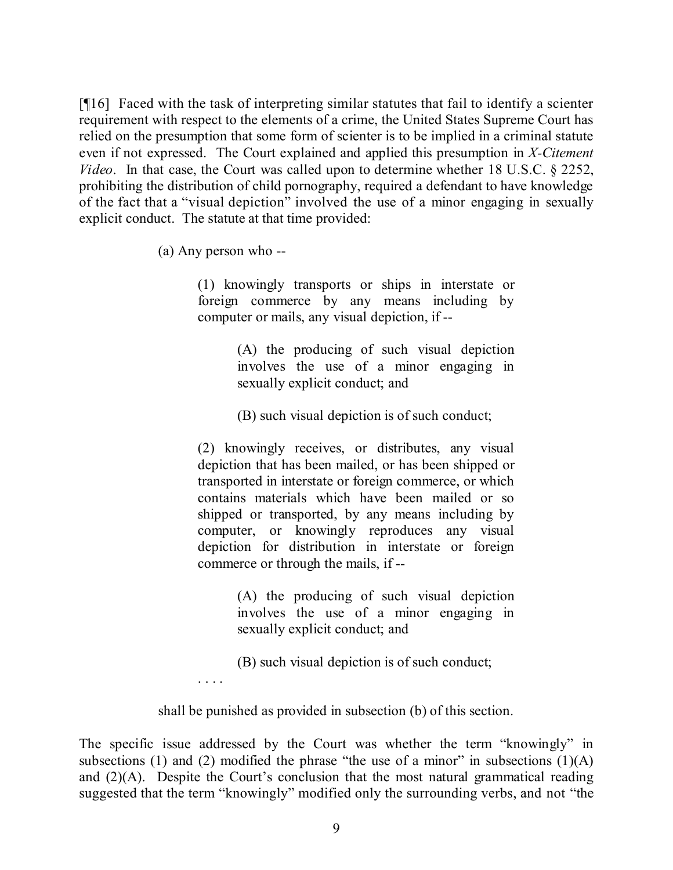[¶16] Faced with the task of interpreting similar statutes that fail to identify a scienter requirement with respect to the elements of a crime, the United States Supreme Court has relied on the presumption that some form of scienter is to be implied in a criminal statute even if not expressed. The Court explained and applied this presumption in *X-Citement Video*. In that case, the Court was called upon to determine whether 18 U.S.C. § 2252, prohibiting the distribution of child pornography, required a defendant to have knowledge of the fact that a "visual depiction" involved the use of a minor engaging in sexually explicit conduct. The statute at that time provided:

(a) Any person who --

. . . .

(1) knowingly transports or ships in interstate or foreign commerce by any means including by computer or mails, any visual depiction, if --

> (A) the producing of such visual depiction involves the use of a minor engaging in sexually explicit conduct; and

(B) such visual depiction is of such conduct;

(2) knowingly receives, or distributes, any visual depiction that has been mailed, or has been shipped or transported in interstate or foreign commerce, or which contains materials which have been mailed or so shipped or transported, by any means including by computer, or knowingly reproduces any visual depiction for distribution in interstate or foreign commerce or through the mails, if --

> (A) the producing of such visual depiction involves the use of a minor engaging in sexually explicit conduct; and

(B) such visual depiction is of such conduct;

shall be punished as provided in subsection (b) of this section.

The specific issue addressed by the Court was whether the term "knowingly" in subsections (1) and (2) modified the phrase "the use of a minor" in subsections  $(1)(A)$ and (2)(A). Despite the Court's conclusion that the most natural grammatical reading suggested that the term "knowingly" modified only the surrounding verbs, and not "the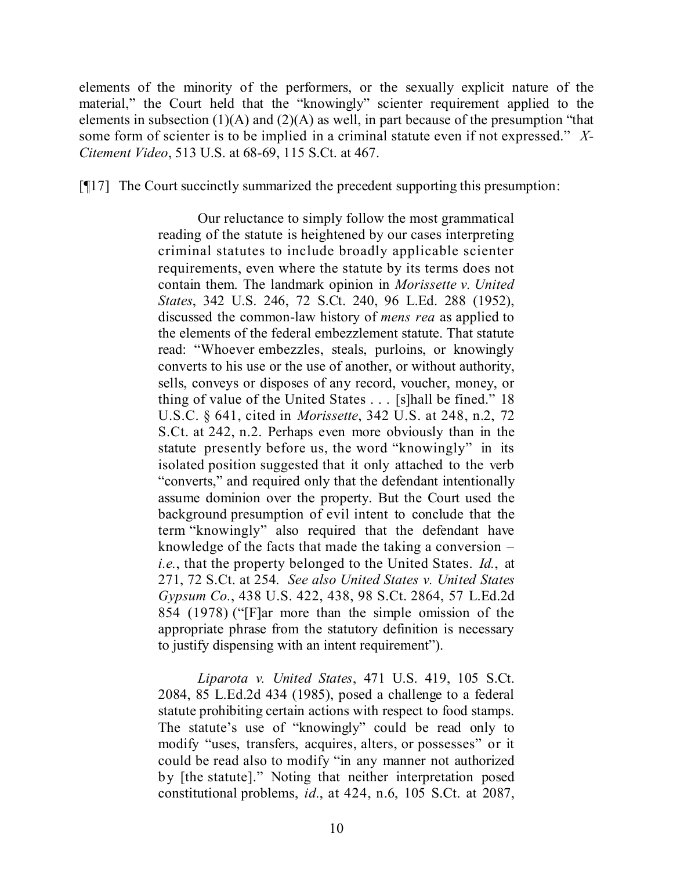elements of the minority of the performers, or the sexually explicit nature of the material," the Court held that the "knowingly" scienter requirement applied to the elements in subsection  $(1)(A)$  and  $(2)(A)$  as well, in part because of the presumption "that some form of scienter is to be implied in a criminal statute even if not expressed." *X-Citement Video*, 513 U.S. at 68-69, 115 S.Ct. at 467.

[¶17] The Court succinctly summarized the precedent supporting this presumption:

Our reluctance to simply follow the most grammatical reading of the statute is heightened by our cases interpreting criminal statutes to include broadly applicable scienter requirements, even where the statute by its terms does not contain them. The landmark opinion in *Morissette v. United States*, 342 U.S. 246, 72 S.Ct. 240, 96 L.Ed. 288 (1952), discussed the common-law history of *mens rea* as applied to the elements of the federal embezzlement statute. That statute read: "Whoever embezzles, steals, purloins, or knowingly converts to his use or the use of another, or without authority, sells, conveys or disposes of any record, voucher, money, or thing of value of the United States . . . [s]hall be fined." 18 U.S.C. § 641, cited in *Morissette*, 342 U.S. at 248, n.2, 72 S.Ct. at 242, n.2. Perhaps even more obviously than in the statute presently before us, the word "knowingly" in its isolated position suggested that it only attached to the verb "converts," and required only that the defendant intentionally assume dominion over the property. But the Court used the background presumption of evil intent to conclude that the term "knowingly" also required that the defendant have knowledge of the facts that made the taking a conversion – *i.e.*, that the property belonged to the United States. *Id.*, at 271, 72 S.Ct. at 254. *See also United States v. United States Gypsum Co.*, 438 U.S. 422, 438, 98 S.Ct. 2864, 57 L.Ed.2d 854 (1978) ("[F]ar more than the simple omission of the appropriate phrase from the statutory definition is necessary to justify dispensing with an intent requirement").

*Liparota v. United States*, 471 U.S. 419, 105 S.Ct. 2084, 85 L.Ed.2d 434 (1985), posed a challenge to a federal statute prohibiting certain actions with respect to food stamps. The statute's use of "knowingly" could be read only to modify "uses, transfers, acquires, alters, or possesses" or it could be read also to modify "in any manner not authorized by [the statute]." Noting that neither interpretation posed constitutional problems, *id.*, at 424, n.6, 105 S.Ct. at 2087,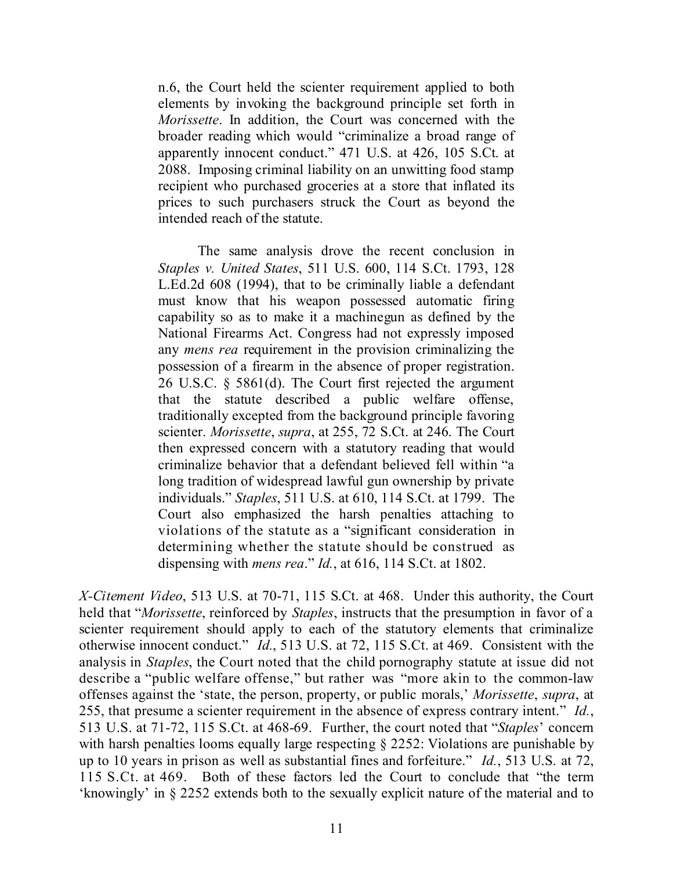n.6, the Court held the scienter requirement applied to both elements by invoking the background principle set forth in *Morissette*. In addition, the Court was concerned with the broader reading which would "criminalize a broad range of apparently innocent conduct." 471 U.S. at 426, 105 S.Ct. at 2088. Imposing criminal liability on an unwitting food stamp recipient who purchased groceries at a store that inflated its prices to such purchasers struck the Court as beyond the intended reach of the statute.

The same analysis drove the recent conclusion in *Staples v. United States*, 511 U.S. 600, 114 S.Ct. 1793, 128 L.Ed.2d 608 (1994), that to be criminally liable a defendant must know that his weapon possessed automatic firing capability so as to make it a machinegun as defined by the National Firearms Act. Congress had not expressly imposed any *mens rea* requirement in the provision criminalizing the possession of a firearm in the absence of proper registration. 26 U.S.C. § 5861(d). The Court first rejected the argument that the statute described a public welfare offense, traditionally excepted from the background principle favoring scienter. *Morissette*, *supra*, at 255, 72 S.Ct. at 246. The Court then expressed concern with a statutory reading that would criminalize behavior that a defendant believed fell within "a long tradition of widespread lawful gun ownership by private individuals." *Staples*, 511 U.S. at 610, 114 S.Ct. at 1799. The Court also emphasized the harsh penalties attaching to violations of the statute as a "significant consideration in determining whether the statute should be construed as dispensing with *mens rea*." *Id.*, at 616, 114 S.Ct. at 1802.

*X-Citement Video*, 513 U.S. at 70-71, 115 S.Ct. at 468. Under this authority, the Court held that "*Morissette*, reinforced by *Staples*, instructs that the presumption in favor of a scienter requirement should apply to each of the statutory elements that criminalize otherwise innocent conduct." *Id.*, 513 U.S. at 72, 115 S.Ct. at 469. Consistent with the analysis in *Staples*, the Court noted that the child pornography statute at issue did not describe a "public welfare offense," but rather was "more akin to the common-law offenses against the 'state, the person, property, or public morals,' *Morissette*, *supra*, at 255, that presume a scienter requirement in the absence of express contrary intent." *Id.*, 513 U.S. at 71-72, 115 S.Ct. at 468-69. Further, the court noted that "*Staples*' concern with harsh penalties looms equally large respecting § 2252: Violations are punishable by up to 10 years in prison as well as substantial fines and forfeiture." *Id.*, 513 U.S. at 72, 115 S.Ct. at 469. Both of these factors led the Court to conclude that "the term 'knowingly' in § 2252 extends both to the sexually explicit nature of the material and to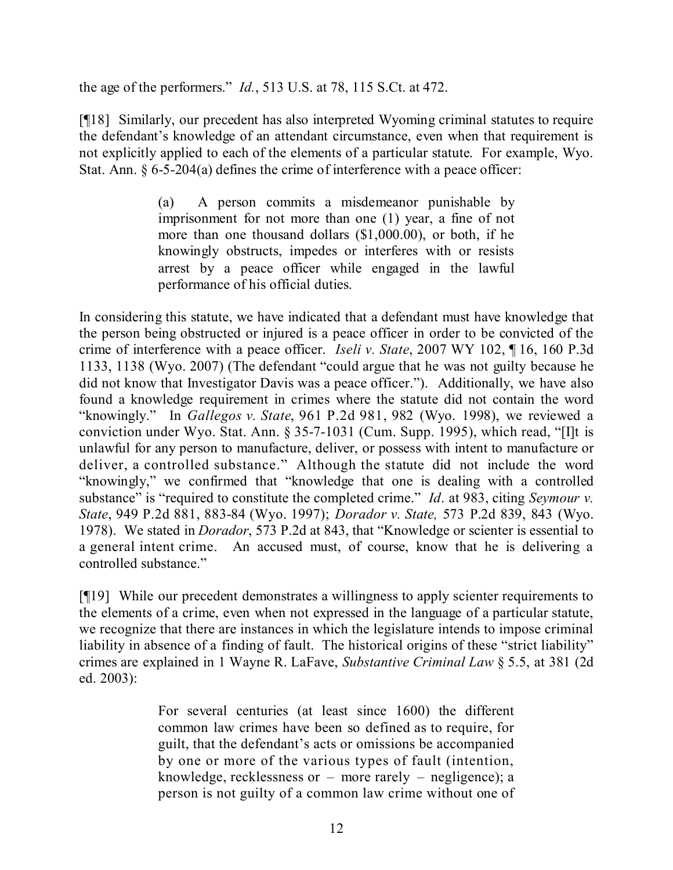the age of the performers." *Id.*, 513 U.S. at 78, 115 S.Ct. at 472.

[¶18] Similarly, our precedent has also interpreted Wyoming criminal statutes to require the defendant's knowledge of an attendant circumstance, even when that requirement is not explicitly applied to each of the elements of a particular statute. For example, Wyo. Stat. Ann.  $\S 6$ -5-204(a) defines the crime of interference with a peace officer:

> (a) A person commits a misdemeanor punishable by imprisonment for not more than one (1) year, a fine of not more than one thousand dollars (\$1,000.00), or both, if he knowingly obstructs, impedes or interferes with or resists arrest by a peace officer while engaged in the lawful performance of his official duties.

In considering this statute, we have indicated that a defendant must have knowledge that the person being obstructed or injured is a peace officer in order to be convicted of the crime of interference with a peace officer. *Iseli v. State*, 2007 WY 102, ¶ 16, 160 P.3d 1133, 1138 (Wyo. 2007) (The defendant "could argue that he was not guilty because he did not know that Investigator Davis was a peace officer."). Additionally, we have also found a knowledge requirement in crimes where the statute did not contain the word "knowingly." In *Gallegos v. State*, 961 P.2d 981, 982 (Wyo. 1998), we reviewed a conviction under Wyo. Stat. Ann. § 35-7-1031 (Cum. Supp. 1995), which read, "[I]t is unlawful for any person to manufacture, deliver, or possess with intent to manufacture or deliver, a controlled substance." Although the statute did not include the word "knowingly," we confirmed that "knowledge that one is dealing with a controlled substance" is "required to constitute the completed crime." *Id*. at 983, citing *Seymour v. State*, 949 P.2d 881, 883-84 (Wyo. 1997); *Dorador v. State,* 573 P.2d 839, 843 (Wyo. 1978). We stated in *Dorador*, 573 P.2d at 843, that "Knowledge or scienter is essential to a general intent crime. An accused must, of course, know that he is delivering a controlled substance."

[¶19] While our precedent demonstrates a willingness to apply scienter requirements to the elements of a crime, even when not expressed in the language of a particular statute, we recognize that there are instances in which the legislature intends to impose criminal liability in absence of a finding of fault. The historical origins of these "strict liability" crimes are explained in 1 Wayne R. LaFave, *Substantive Criminal Law* § 5.5, at 381 (2d ed. 2003):

> For several centuries (at least since 1600) the different common law crimes have been so defined as to require, for guilt, that the defendant's acts or omissions be accompanied by one or more of the various types of fault (intention, knowledge, recklessness or – more rarely – negligence); a person is not guilty of a common law crime without one of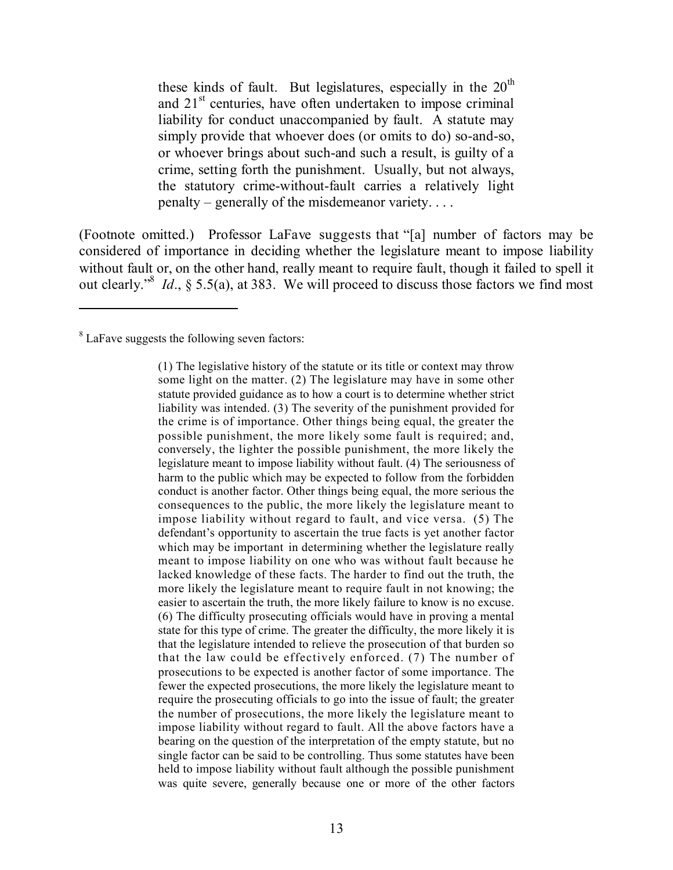these kinds of fault. But legislatures, especially in the  $20<sup>th</sup>$ and 21<sup>st</sup> centuries, have often undertaken to impose criminal liability for conduct unaccompanied by fault. A statute may simply provide that whoever does (or omits to do) so-and-so, or whoever brings about such-and such a result, is guilty of a crime, setting forth the punishment. Usually, but not always, the statutory crime-without-fault carries a relatively light penalty – generally of the misdemeanor variety. . . .

(Footnote omitted.) Professor LaFave suggests that "[a] number of factors may be considered of importance in deciding whether the legislature meant to impose liability without fault or, on the other hand, really meant to require fault, though it failed to spell it out clearly."<sup>8</sup> *Id.*, § 5.5(a), at 383. We will proceed to discuss those factors we find most

<sup>&</sup>lt;sup>8</sup> LaFave suggests the following seven factors:

<sup>(1)</sup> The legislative history of the statute or its title or context may throw some light on the matter. (2) The legislature may have in some other statute provided guidance as to how a court is to determine whether strict liability was intended. (3) The severity of the punishment provided for the crime is of importance. Other things being equal, the greater the possible punishment, the more likely some fault is required; and, conversely, the lighter the possible punishment, the more likely the legislature meant to impose liability without fault. (4) The seriousness of harm to the public which may be expected to follow from the forbidden conduct is another factor. Other things being equal, the more serious the consequences to the public, the more likely the legislature meant to impose liability without regard to fault, and vice versa. (5) The defendant's opportunity to ascertain the true facts is yet another factor which may be important in determining whether the legislature really meant to impose liability on one who was without fault because he lacked knowledge of these facts. The harder to find out the truth, the more likely the legislature meant to require fault in not knowing; the easier to ascertain the truth, the more likely failure to know is no excuse. (6) The difficulty prosecuting officials would have in proving a mental state for this type of crime. The greater the difficulty, the more likely it is that the legislature intended to relieve the prosecution of that burden so that the law could be effectively enforced. (7) The number of prosecutions to be expected is another factor of some importance. The fewer the expected prosecutions, the more likely the legislature meant to require the prosecuting officials to go into the issue of fault; the greater the number of prosecutions, the more likely the legislature meant to impose liability without regard to fault. All the above factors have a bearing on the question of the interpretation of the empty statute, but no single factor can be said to be controlling. Thus some statutes have been held to impose liability without fault although the possible punishment was quite severe, generally because one or more of the other factors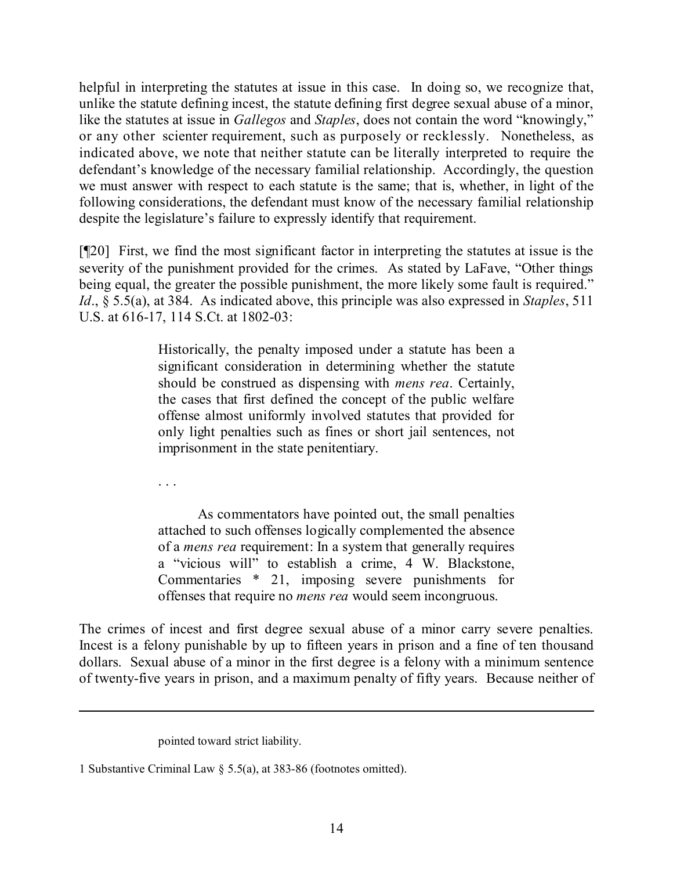helpful in interpreting the statutes at issue in this case. In doing so, we recognize that, unlike the statute defining incest, the statute defining first degree sexual abuse of a minor, like the statutes at issue in *Gallegos* and *Staples*, does not contain the word "knowingly," or any other scienter requirement, such as purposely or recklessly. Nonetheless, as indicated above, we note that neither statute can be literally interpreted to require the defendant's knowledge of the necessary familial relationship. Accordingly, the question we must answer with respect to each statute is the same; that is, whether, in light of the following considerations, the defendant must know of the necessary familial relationship despite the legislature's failure to expressly identify that requirement.

[¶20] First, we find the most significant factor in interpreting the statutes at issue is the severity of the punishment provided for the crimes. As stated by LaFave, "Other things being equal, the greater the possible punishment, the more likely some fault is required." *Id*., § 5.5(a), at 384. As indicated above, this principle was also expressed in *Staples*, 511 U.S. at 616-17, 114 S.Ct. at 1802-03:

> Historically, the penalty imposed under a statute has been a significant consideration in determining whether the statute should be construed as dispensing with *mens rea*. Certainly, the cases that first defined the concept of the public welfare offense almost uniformly involved statutes that provided for only light penalties such as fines or short jail sentences, not imprisonment in the state penitentiary.

. . .

As commentators have pointed out, the small penalties attached to such offenses logically complemented the absence of a *mens rea* requirement: In a system that generally requires a "vicious will" to establish a crime, 4 W. Blackstone, Commentaries \* 21, imposing severe punishments for offenses that require no *mens rea* would seem incongruous.

The crimes of incest and first degree sexual abuse of a minor carry severe penalties. Incest is a felony punishable by up to fifteen years in prison and a fine of ten thousand dollars. Sexual abuse of a minor in the first degree is a felony with a minimum sentence of twenty-five years in prison, and a maximum penalty of fifty years. Because neither of

 $\overline{a}$ 

pointed toward strict liability.

<sup>1</sup> Substantive Criminal Law § 5.5(a), at 383-86 (footnotes omitted).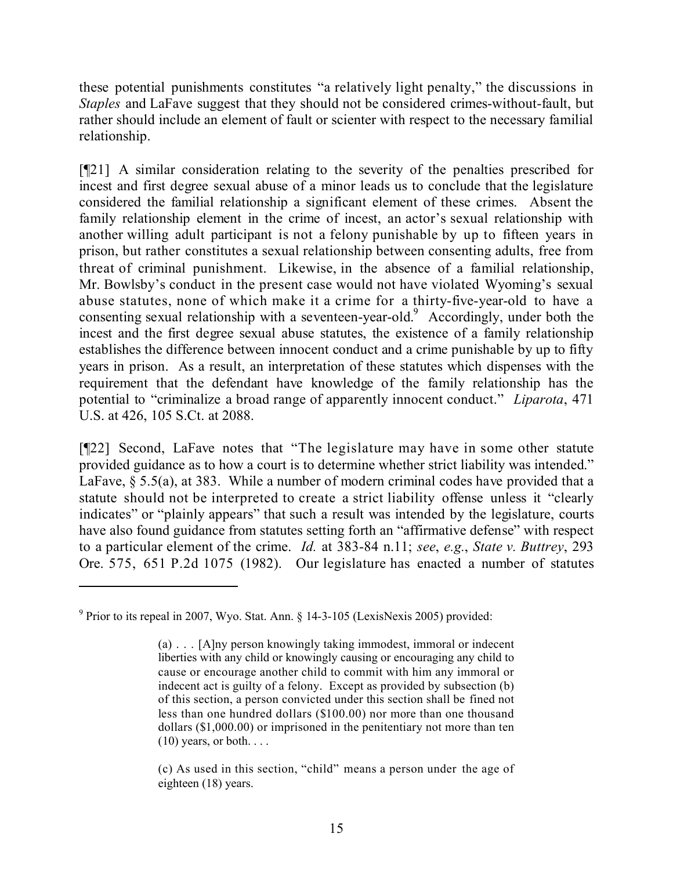these potential punishments constitutes "a relatively light penalty," the discussions in *Staples* and LaFave suggest that they should not be considered crimes-without-fault, but rather should include an element of fault or scienter with respect to the necessary familial relationship.

[¶21] A similar consideration relating to the severity of the penalties prescribed for incest and first degree sexual abuse of a minor leads us to conclude that the legislature considered the familial relationship a significant element of these crimes. Absent the family relationship element in the crime of incest, an actor's sexual relationship with another willing adult participant is not a felony punishable by up to fifteen years in prison, but rather constitutes a sexual relationship between consenting adults, free from threat of criminal punishment. Likewise, in the absence of a familial relationship, Mr. Bowlsby's conduct in the present case would not have violated Wyoming's sexual abuse statutes, none of which make it a crime for a thirty-five-year-old to have a consenting sexual relationship with a seventeen-year-old. Accordingly, under both the incest and the first degree sexual abuse statutes, the existence of a family relationship establishes the difference between innocent conduct and a crime punishable by up to fifty years in prison. As a result, an interpretation of these statutes which dispenses with the requirement that the defendant have knowledge of the family relationship has the potential to "criminalize a broad range of apparently innocent conduct." *Liparota*, 471 U.S. at 426, 105 S.Ct. at 2088.

[¶22] Second, LaFave notes that "The legislature may have in some other statute provided guidance as to how a court is to determine whether strict liability was intended." LaFave, § 5.5(a), at 383. While a number of modern criminal codes have provided that a statute should not be interpreted to create a strict liability offense unless it "clearly indicates" or "plainly appears" that such a result was intended by the legislature, courts have also found guidance from statutes setting forth an "affirmative defense" with respect to a particular element of the crime. *Id.* at 383-84 n.11; *see*, *e.g.*, *State v. Buttrey*, 293 Ore. 575, 651 P.2d 1075 (1982). Our legislature has enacted a number of statutes

<sup>&</sup>lt;sup>9</sup> Prior to its repeal in 2007, Wyo. Stat. Ann. § 14-3-105 (LexisNexis 2005) provided:

<sup>(</sup>a) . . . [A]ny person knowingly taking immodest, immoral or indecent liberties with any child or knowingly causing or encouraging any child to cause or encourage another child to commit with him any immoral or indecent act is guilty of a felony. Except as provided by subsection (b) of this section, a person convicted under this section shall be fined not less than one hundred dollars (\$100.00) nor more than one thousand dollars (\$1,000.00) or imprisoned in the penitentiary not more than ten  $(10)$  years, or both...

<sup>(</sup>c) As used in this section, "child" means a person under the age of eighteen (18) years.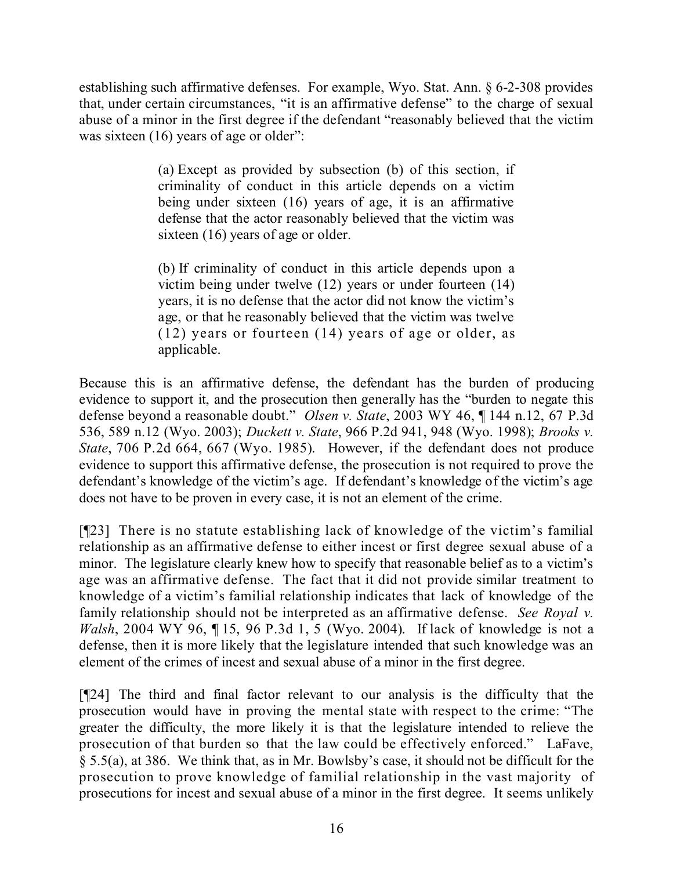establishing such affirmative defenses. For example, Wyo. Stat. Ann. § 6-2-308 provides that, under certain circumstances, "it is an affirmative defense" to the charge of sexual abuse of a minor in the first degree if the defendant "reasonably believed that the victim was sixteen (16) years of age or older":

> (a) Except as provided by subsection (b) of this section, if criminality of conduct in this article depends on a victim being under sixteen (16) years of age, it is an affirmative defense that the actor reasonably believed that the victim was sixteen (16) years of age or older.

> (b) If criminality of conduct in this article depends upon a victim being under twelve (12) years or under fourteen (14) years, it is no defense that the actor did not know the victim's age, or that he reasonably believed that the victim was twelve (12) years or fourteen (14) years of age or older, as applicable.

Because this is an affirmative defense, the defendant has the burden of producing evidence to support it, and the prosecution then generally has the "burden to negate this defense beyond a reasonable doubt." *Olsen v. State*, 2003 WY 46, ¶ 144 n.12, 67 P.3d 536, 589 n.12 (Wyo. 2003); *Duckett v. State*, 966 P.2d 941, 948 (Wyo. 1998); *Brooks v. State*, 706 P.2d 664, 667 (Wyo. 1985). However, if the defendant does not produce evidence to support this affirmative defense, the prosecution is not required to prove the defendant's knowledge of the victim's age. If defendant's knowledge of the victim's age does not have to be proven in every case, it is not an element of the crime.

[¶23] There is no statute establishing lack of knowledge of the victim's familial relationship as an affirmative defense to either incest or first degree sexual abuse of a minor. The legislature clearly knew how to specify that reasonable belief as to a victim's age was an affirmative defense. The fact that it did not provide similar treatment to knowledge of a victim's familial relationship indicates that lack of knowledge of the family relationship should not be interpreted as an affirmative defense. *See Royal v. Walsh*, 2004 WY 96, ¶ 15, 96 P.3d 1, 5 (Wyo. 2004). If lack of knowledge is not a defense, then it is more likely that the legislature intended that such knowledge was an element of the crimes of incest and sexual abuse of a minor in the first degree.

[¶24] The third and final factor relevant to our analysis is the difficulty that the prosecution would have in proving the mental state with respect to the crime: "The greater the difficulty, the more likely it is that the legislature intended to relieve the prosecution of that burden so that the law could be effectively enforced." LaFave, § 5.5(a), at 386. We think that, as in Mr. Bowlsby's case, it should not be difficult for the prosecution to prove knowledge of familial relationship in the vast majority of prosecutions for incest and sexual abuse of a minor in the first degree. It seems unlikely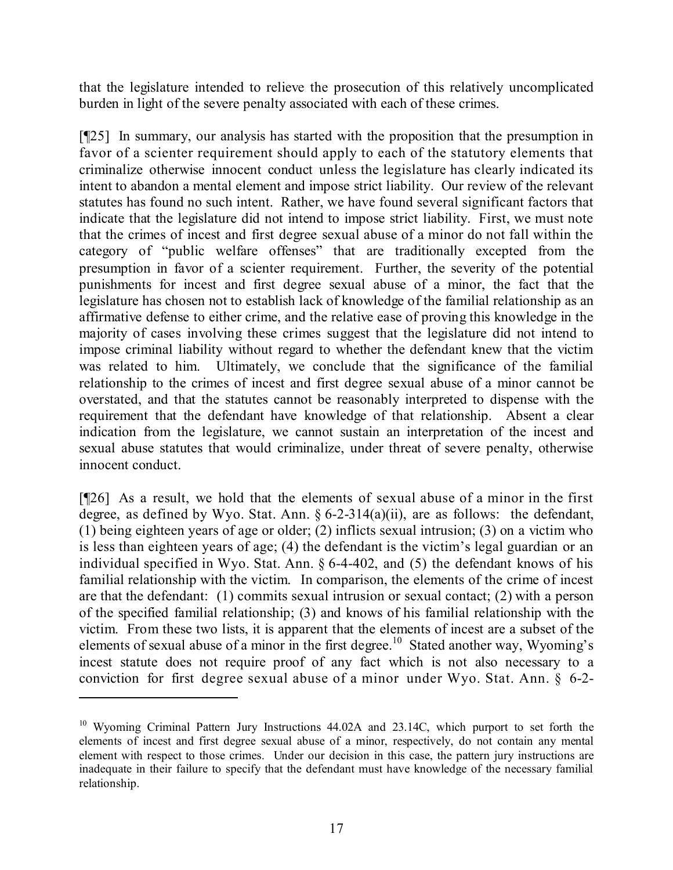that the legislature intended to relieve the prosecution of this relatively uncomplicated burden in light of the severe penalty associated with each of these crimes.

[¶25] In summary, our analysis has started with the proposition that the presumption in favor of a scienter requirement should apply to each of the statutory elements that criminalize otherwise innocent conduct unless the legislature has clearly indicated its intent to abandon a mental element and impose strict liability. Our review of the relevant statutes has found no such intent. Rather, we have found several significant factors that indicate that the legislature did not intend to impose strict liability. First, we must note that the crimes of incest and first degree sexual abuse of a minor do not fall within the category of "public welfare offenses" that are traditionally excepted from the presumption in favor of a scienter requirement. Further, the severity of the potential punishments for incest and first degree sexual abuse of a minor, the fact that the legislature has chosen not to establish lack of knowledge of the familial relationship as an affirmative defense to either crime, and the relative ease of proving this knowledge in the majority of cases involving these crimes suggest that the legislature did not intend to impose criminal liability without regard to whether the defendant knew that the victim was related to him. Ultimately, we conclude that the significance of the familial relationship to the crimes of incest and first degree sexual abuse of a minor cannot be overstated, and that the statutes cannot be reasonably interpreted to dispense with the requirement that the defendant have knowledge of that relationship. Absent a clear indication from the legislature, we cannot sustain an interpretation of the incest and sexual abuse statutes that would criminalize, under threat of severe penalty, otherwise innocent conduct.

[¶26] As a result, we hold that the elements of sexual abuse of a minor in the first degree, as defined by Wyo. Stat. Ann.  $\S 6$ -2-314(a)(ii), are as follows: the defendant, (1) being eighteen years of age or older; (2) inflicts sexual intrusion; (3) on a victim who is less than eighteen years of age; (4) the defendant is the victim's legal guardian or an individual specified in Wyo. Stat. Ann. § 6-4-402, and (5) the defendant knows of his familial relationship with the victim. In comparison, the elements of the crime of incest are that the defendant: (1) commits sexual intrusion or sexual contact; (2) with a person of the specified familial relationship; (3) and knows of his familial relationship with the victim. From these two lists, it is apparent that the elements of incest are a subset of the elements of sexual abuse of a minor in the first degree.<sup>10</sup> Stated another way, Wyoming's incest statute does not require proof of any fact which is not also necessary to a conviction for first degree sexual abuse of a minor under Wyo. Stat. Ann. § 6-2-

<sup>&</sup>lt;sup>10</sup> Wyoming Criminal Pattern Jury Instructions 44.02A and 23.14C, which purport to set forth the elements of incest and first degree sexual abuse of a minor, respectively, do not contain any mental element with respect to those crimes. Under our decision in this case, the pattern jury instructions are inadequate in their failure to specify that the defendant must have knowledge of the necessary familial relationship.